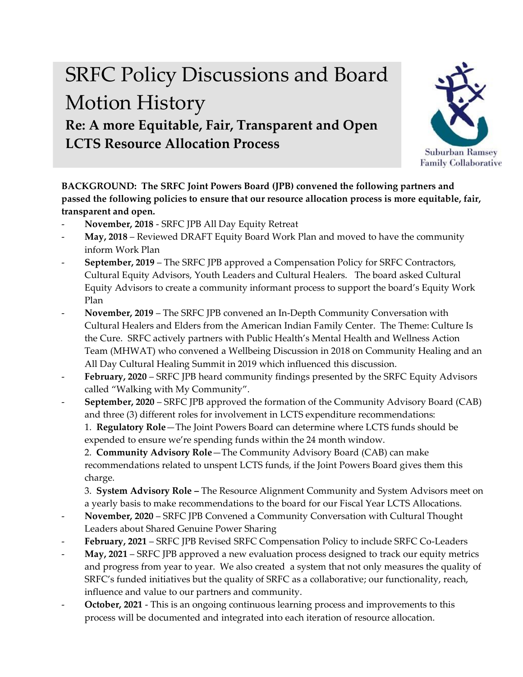## SRFC Policy Discussions and Board Motion History **Re: A more Equitable, Fair, Transparent and Open LCTS Resource Allocation Process**



**BACKGROUND: The SRFC Joint Powers Board (JPB) convened the following partners and passed the following policies to ensure that our resource allocation process is more equitable, fair, transparent and open.** 

- **November, 2018** SRFC JPB All Day Equity Retreat
- May, 2018 Reviewed DRAFT Equity Board Work Plan and moved to have the community inform Work Plan
- September, 2019 The SRFC JPB approved a Compensation Policy for SRFC Contractors, Cultural Equity Advisors, Youth Leaders and Cultural Healers. The board asked Cultural Equity Advisors to create a community informant process to support the board's Equity Work Plan
- **November, 2019** The SRFC JPB convened an In-Depth Community Conversation with Cultural Healers and Elders from the American Indian Family Center. The Theme: Culture Is the Cure. SRFC actively partners with Public Health's Mental Health and Wellness Action Team (MHWAT) who convened a Wellbeing Discussion in 2018 on Community Healing and an All Day Cultural Healing Summit in 2019 which influenced this discussion.
- February, 2020 SRFC JPB heard community findings presented by the SRFC Equity Advisors called "Walking with My Community".
- **September, 2020** SRFC JPB approved the formation of the Community Advisory Board (CAB) and three (3) different roles for involvement in LCTS expenditure recommendations:

1. **Regulatory Role**—The Joint Powers Board can determine where LCTS funds should be expended to ensure we're spending funds within the 24 month window.

2. **Community Advisory Role**—The Community Advisory Board (CAB) can make recommendations related to unspent LCTS funds, if the Joint Powers Board gives them this charge.

3. **System Advisory Role –** The Resource Alignment Community and System Advisors meet on a yearly basis to make recommendations to the board for our Fiscal Year LCTS Allocations.

- **November, 2020** SRFC JPB Convened a Community Conversation with Cultural Thought Leaders about Shared Genuine Power Sharing
- **February, 2021** SRFC JPB Revised SRFC Compensation Policy to include SRFC Co-Leaders
- **May, 2021** SRFC JPB approved a new evaluation process designed to track our equity metrics and progress from year to year. We also created a system that not only measures the quality of SRFC's funded initiatives but the quality of SRFC as a collaborative; our functionality, reach, influence and value to our partners and community.
- **October, 2021** This is an ongoing continuous learning process and improvements to this process will be documented and integrated into each iteration of resource allocation.